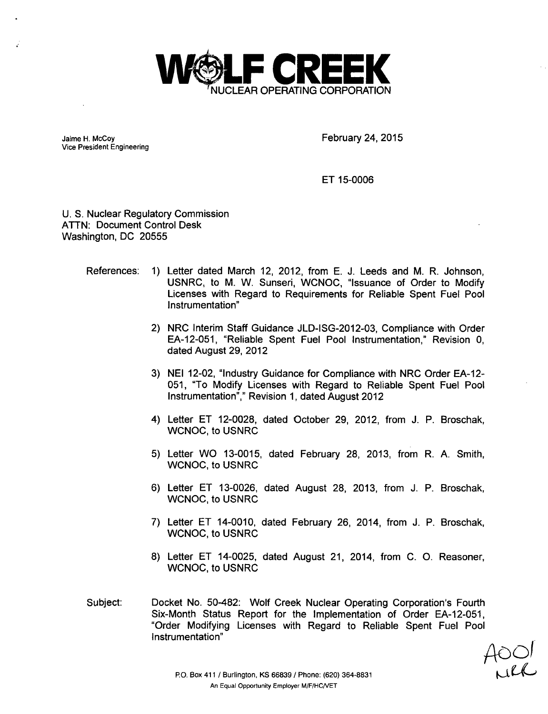

Jaime H. McCoy Vice President Engineering February 24, 2015

ET 15-0006

U. S. Nuclear Regulatory Commission ATTN: Document Control Desk Washington, DC 20555

- References: 1) Letter dated March 12, 2012, from E. J. Leeds and M. R. Johnson, USNRC, to M. W. Sunseri, WCNOC, "Issuance of Order to Modify Licenses with Regard to Requirements for Reliable Spent Fuel Pool Instrumentation"
	- 2) NRC Interim Staff Guidance JLD-ISG-2012-03, Compliance with Order EA-12-051, "Reliable Spent Fuel Pool Instrumentation," Revision 0, dated August 29, 2012
	- 3) NEI 12-02, "Industry Guidance for Compliance with NRC Order EA-12- 051, "To Modify Licenses with Regard to Reliable Spent Fuel Pool Instrumentation"," Revision 1, dated August 2012
	- 4) Letter ET 12-0028, dated October 29, 2012, from J. P. Broschak, WCNOC, to USNRC
	- 5) Letter WO 13-0015, dated February 28, 2013, from R. A. Smith, WCNOC, to USNRC
	- 6) Letter ET 13-0026, dated August 28, 2013, from J. P. Broschak, WCNOC, to USNRC
	- 7) Letter ET 14-0010, dated February 26, 2014, from J. P. Broschak, WCNOC, to USNRC
	- 8) Letter ET 14-0025, dated August 21, 2014, from C. **0.** Reasoner, WCNOC, to USNRC
- Subject: Docket No. 50-482: Wolf Creek Nuclear Operating Corporation's Fourth Six-Month Status Report for the Implementation of Order EA-12-051, "Order Modifying Licenses with Regard to Reliable Spent Fuel Pool Instrumentation"

fVoOI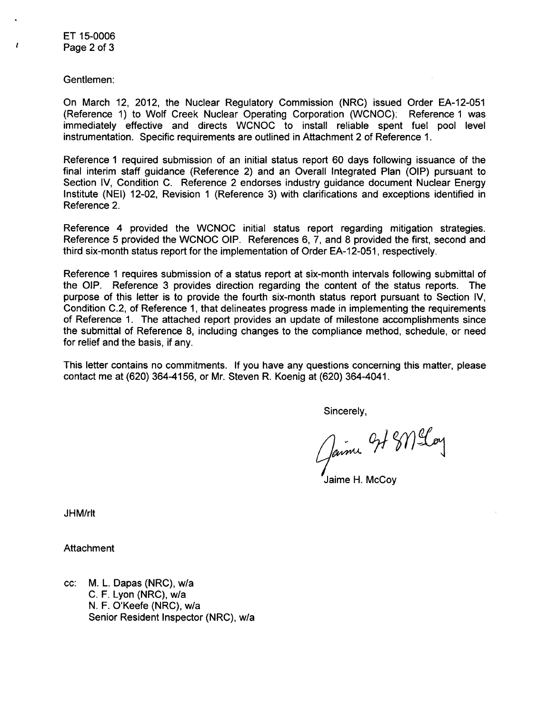ET 15-0006 Page 2 of 3

Gentlemen:

On March 12, 2012, the Nuclear Regulatory Commission (NRC) issued Order EA-12-051 (Reference 1) to Wolf Creek Nuclear Operating Corporation (WCNOC): Reference 1 was immediately effective and directs WCNOC to install reliable spent fuel pool level instrumentation. Specific requirements are outlined in Attachment 2 of Reference 1.

Reference **1** required submission of an initial status report 60 days following issuance of the final interim staff guidance (Reference 2) and an Overall Integrated Plan (OIP) pursuant to Section IV, Condition C. Reference 2 endorses industry guidance document Nuclear Energy Institute (NEI) 12-02, Revision 1 (Reference 3) with clarifications and exceptions identified in Reference 2.

Reference 4 provided the WCNOC initial status report regarding mitigation strategies. Reference 5 provided the WCNOC OIP. References 6, 7, and 8 provided the first, second and third six-month status report for the implementation of Order EA-12-051, respectively.

Reference 1 requires submission of a status report at six-month intervals following submittal of the OIP. Reference 3 provides direction regarding the content of the status reports. The purpose of this letter is to provide the fourth six-month status report pursuant to Section IV, Condition C.2, of Reference 1, that delineates progress made in implementing the requirements of Reference 1. The attached report provides an update of milestone accomplishments since the submittal of Reference 8, including changes to the compliance method, schedule, or need for relief and the basis, if any.

This letter contains no commitments. If you have any questions concerning this matter, please contact me at (620) 364-4156, or Mr. Steven R. Koenig at (620) 364-4041.

Sincerely,

Jaime It Meloy

Jaime H. McCoy

JHM/rlt

**Attachment** 

cc: M. L. Dapas (NRC), w/a C. F. Lyon (NRC), w/a N. F. O'Keefe (NRC), w/a Senior Resident Inspector (NRC), w/a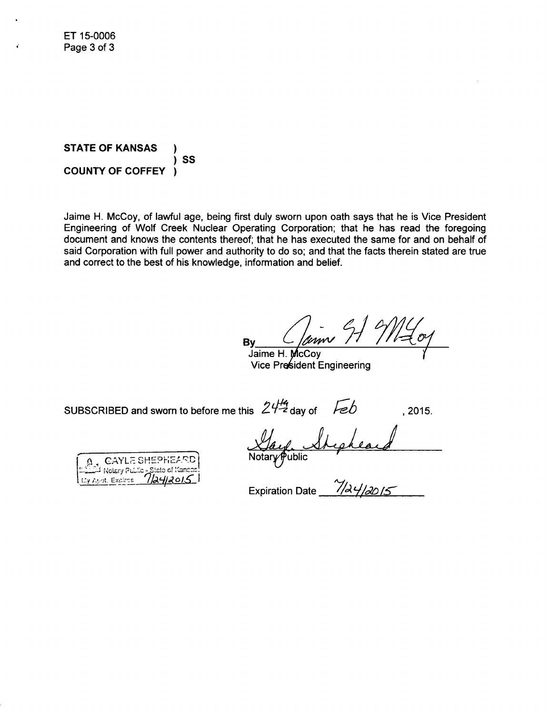**STATE OF KANSAS SS COUNTY OF COFFEY** 

Jaime H. McCoy, of lawful age, being first duly sworn upon oath says that he is Vice President Engineering of Wolf Creek Nuclear Operating Corporation; that he has read the foregoing document and knows the contents thereof; that he has executed the same for and on behalf of said Corporation with full power and authority to do so; and that the facts therein stated are true and correct to the best of his knowledge, information and belief.

**Bv** 

Jaime H. McCoy Vice President Engineering

SUBSCRIBED and sworn to before me this  $24\frac{14}{3}$  day of Leb  $.2015.$ 

lotarv∕ Public

**CAYLE SHEPHEARD** tic - Stato Notary Pul My Apot. Expires

7/24/2015 Expiration Date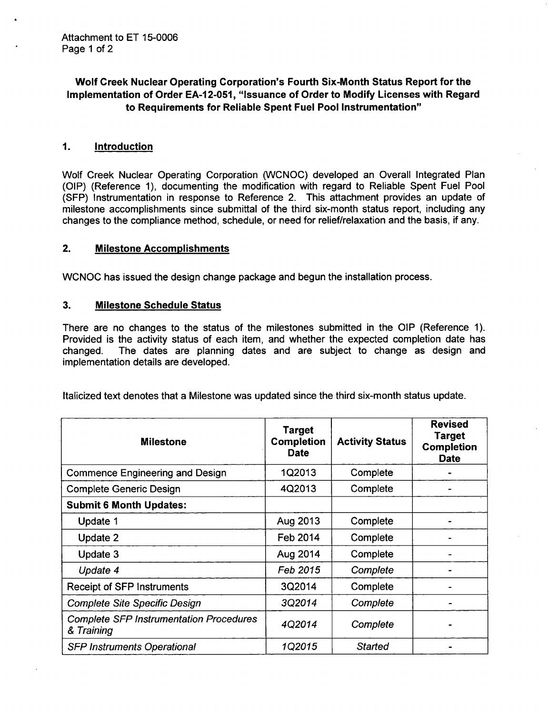# Wolf Creek Nuclear Operating Corporation's Fourth Six-Month Status Report for the Implementation of Order EA-12-051, "Issuance of Order to Modify Licenses with Regard to Requirements for Reliable Spent Fuel Pool Instrumentation"

## 1. Introduction

Wolf Creek Nuclear Operating Corporation (WCNOC) developed an Overall Integrated Plan (OIP) (Reference 1), documenting the modification with regard to Reliable Spent Fuel Pool (SFP) Instrumentation in response to Reference 2. This attachment provides an update of milestone accomplishments since submittal of the third six-month status report, including any changes to the compliance method, schedule, or need for relief/relaxation and the basis, if any.

## 2. Milestone Accomplishments

WCNOC has issued the design change package and begun the installation process.

### 3. Milestone Schedule Status

There are no changes to the status of the milestones submitted in the OIP (Reference 1). Provided is the activity status of each item, and whether the expected completion date has changed. The dates are planning dates and are subject to change as design and implementation details are developed.

Italicized text denotes that a Milestone was updated since the third six-month status update.

| <b>Milestone</b>                                             | <b>Target</b><br><b>Completion</b><br><b>Date</b> | <b>Activity Status</b> | <b>Revised</b><br><b>Target</b><br><b>Completion</b><br><b>Date</b> |
|--------------------------------------------------------------|---------------------------------------------------|------------------------|---------------------------------------------------------------------|
| <b>Commence Engineering and Design</b>                       | 1Q2013                                            | Complete               |                                                                     |
| <b>Complete Generic Design</b>                               | 4Q2013                                            | Complete               |                                                                     |
| <b>Submit 6 Month Updates:</b>                               |                                                   |                        |                                                                     |
| Update 1                                                     | Aug 2013                                          | Complete               |                                                                     |
| Update 2                                                     | Feb 2014                                          | Complete               |                                                                     |
| Update 3                                                     | Aug 2014                                          | Complete               |                                                                     |
| Update 4                                                     | Feb 2015                                          | Complete               |                                                                     |
| <b>Receipt of SFP Instruments</b>                            | 3Q2014                                            | Complete               |                                                                     |
| <b>Complete Site Specific Design</b>                         | 3Q2014                                            | Complete               |                                                                     |
| <b>Complete SFP Instrumentation Procedures</b><br>& Training | 4Q2014                                            | Complete               |                                                                     |
| <b>SFP Instruments Operational</b>                           | 1Q2015                                            | <b>Started</b>         |                                                                     |